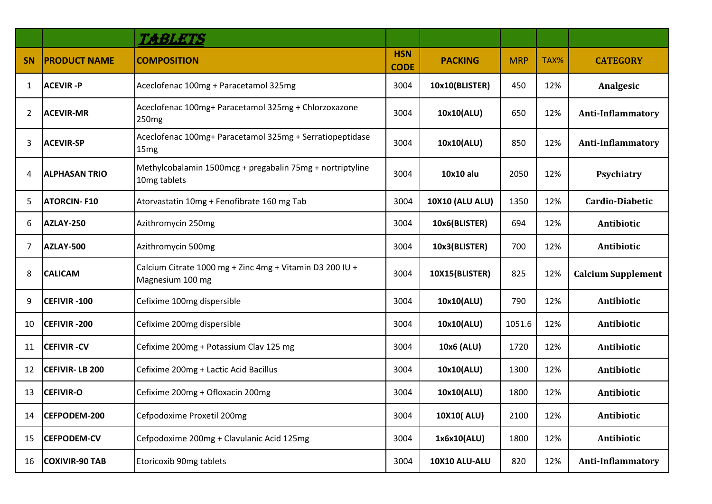|                |                       | TABLETS                                                                      |                           |                        |            |      |                           |
|----------------|-----------------------|------------------------------------------------------------------------------|---------------------------|------------------------|------------|------|---------------------------|
| <b>SN</b>      | <b>PRODUCT NAME</b>   | <b>COMPOSITION</b>                                                           | <b>HSN</b><br><b>CODE</b> | <b>PACKING</b>         | <b>MRP</b> | TAX% | <b>CATEGORY</b>           |
| 1              | <b>ACEVIR-P</b>       | Aceclofenac 100mg + Paracetamol 325mg                                        | 3004                      | 10x10(BLISTER)         | 450        | 12%  | Analgesic                 |
| $\overline{2}$ | <b>ACEVIR-MR</b>      | Aceclofenac 100mg+ Paracetamol 325mg + Chlorzoxazone<br>250 <sub>mg</sub>    | 3004                      | 10x10(ALU)             | 650        | 12%  | <b>Anti-Inflammatory</b>  |
| 3              | ACEVIR-SP             | Aceclofenac 100mg+ Paracetamol 325mg + Serratiopeptidase<br>15 <sub>mg</sub> | 3004                      | 10x10(ALU)             | 850        | 12%  | <b>Anti-Inflammatory</b>  |
| 4              | <b>ALPHASAN TRIO</b>  | Methylcobalamin 1500mcg + pregabalin 75mg + nortriptyline<br>10mg tablets    | 3004                      | 10x10 alu              | 2050       | 12%  | Psychiatry                |
| 5              | <b>ATORCIN-F10</b>    | Atorvastatin 10mg + Fenofibrate 160 mg Tab                                   | 3004                      | <b>10X10 (ALU ALU)</b> | 1350       | 12%  | Cardio-Diabetic           |
| 6              | <b>AZLAY-250</b>      | Azithromycin 250mg                                                           | 3004                      | 10x6(BLISTER)          | 694        | 12%  | Antibiotic                |
| 7              | AZLAY-500             | Azithromycin 500mg                                                           | 3004                      | 10x3(BLISTER)          | 700        | 12%  | Antibiotic                |
| 8              | <b>CALICAM</b>        | Calcium Citrate 1000 mg + Zinc 4mg + Vitamin D3 200 IU +<br>Magnesium 100 mg | 3004                      | 10X15(BLISTER)         | 825        | 12%  | <b>Calcium Supplement</b> |
| 9              | <b>CEFIVIR -100</b>   | Cefixime 100mg dispersible                                                   | 3004                      | 10x10(ALU)             | 790        | 12%  | Antibiotic                |
| 10             | <b>CEFIVIR -200</b>   | Cefixime 200mg dispersible                                                   | 3004                      | 10x10(ALU)             | 1051.6     | 12%  | Antibiotic                |
| 11             | <b>CEFIVIR-CV</b>     | Cefixime 200mg + Potassium Clav 125 mg                                       | 3004                      | 10x6 (ALU)             | 1720       | 12%  | Antibiotic                |
| 12             | <b>CEFIVIR-LB 200</b> | Cefixime 200mg + Lactic Acid Bacillus                                        | 3004                      | 10x10(ALU)             | 1300       | 12%  | Antibiotic                |
| 13             | <b>CEFIVIR-O</b>      | Cefixime 200mg + Ofloxacin 200mg                                             | 3004                      | 10x10(ALU)             | 1800       | 12%  | Antibiotic                |
| 14             | CEFPODEM-200          | Cefpodoxime Proxetil 200mg                                                   | 3004                      | 10X10(ALU)             | 2100       | 12%  | Antibiotic                |
| 15             | <b>CEFPODEM-CV</b>    | Cefpodoxime 200mg + Clavulanic Acid 125mg                                    | 3004                      | 1x6x10(ALU)            | 1800       | 12%  | Antibiotic                |
| 16             | <b>COXIVIR-90 TAB</b> | Etoricoxib 90mg tablets                                                      | 3004                      | 10X10 ALU-ALU          | 820        | 12%  | <b>Anti-Inflammatory</b>  |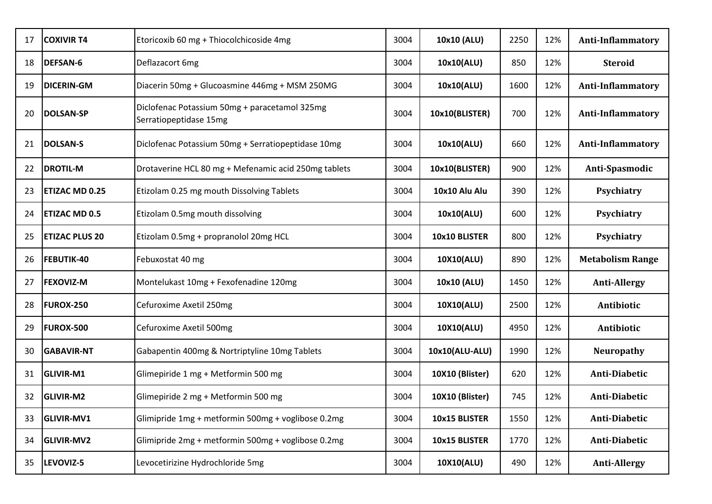| 17 | <b>COXIVIR T4</b>     | Etoricoxib 60 mg + Thiocolchicoside 4mg                                 | 3004 | 10x10 (ALU)     | 2250 | 12% | <b>Anti-Inflammatory</b> |
|----|-----------------------|-------------------------------------------------------------------------|------|-----------------|------|-----|--------------------------|
| 18 | <b>DEFSAN-6</b>       | Deflazacort 6mg                                                         | 3004 | 10x10(ALU)      | 850  | 12% | <b>Steroid</b>           |
| 19 | DICERIN-GM            | Diacerin 50mg + Glucoasmine 446mg + MSM 250MG                           | 3004 | 10x10(ALU)      | 1600 | 12% | Anti-Inflammatory        |
| 20 | <b>DOLSAN-SP</b>      | Diclofenac Potassium 50mg + paracetamol 325mg<br>Serratiopeptidase 15mg | 3004 | 10x10(BLISTER)  | 700  | 12% | <b>Anti-Inflammatory</b> |
| 21 | <b>DOLSAN-S</b>       | Diclofenac Potassium 50mg + Serratiopeptidase 10mg                      | 3004 | 10x10(ALU)      | 660  | 12% | <b>Anti-Inflammatory</b> |
| 22 | <b>DROTIL-M</b>       | Drotaverine HCL 80 mg + Mefenamic acid 250mg tablets                    | 3004 | 10x10(BLISTER)  | 900  | 12% | Anti-Spasmodic           |
| 23 | <b>ETIZAC MD 0.25</b> | Etizolam 0.25 mg mouth Dissolving Tablets                               | 3004 | 10x10 Alu Alu   | 390  | 12% | Psychiatry               |
| 24 | <b>ETIZAC MD 0.5</b>  | Etizolam 0.5mg mouth dissolving                                         | 3004 | 10x10(ALU)      | 600  | 12% | Psychiatry               |
| 25 | <b>ETIZAC PLUS 20</b> | Etizolam 0.5mg + propranolol 20mg HCL                                   | 3004 | 10x10 BLISTER   | 800  | 12% | Psychiatry               |
| 26 | <b>FEBUTIK-40</b>     | Febuxostat 40 mg                                                        | 3004 | 10X10(ALU)      | 890  | 12% | <b>Metabolism Range</b>  |
| 27 | <b>FEXOVIZ-M</b>      | Montelukast 10mg + Fexofenadine 120mg                                   | 3004 | 10x10 (ALU)     | 1450 | 12% | <b>Anti-Allergy</b>      |
| 28 | <b>FUROX-250</b>      | Cefuroxime Axetil 250mg                                                 | 3004 | 10X10(ALU)      | 2500 | 12% | Antibiotic               |
| 29 | <b>FUROX-500</b>      | Cefuroxime Axetil 500mg                                                 | 3004 | 10X10(ALU)      | 4950 | 12% | Antibiotic               |
| 30 | <b>GABAVIR-NT</b>     | Gabapentin 400mg & Nortriptyline 10mg Tablets                           | 3004 | 10x10(ALU-ALU)  | 1990 | 12% | <b>Neuropathy</b>        |
| 31 | GLIVIR-M1             | Glimepiride 1 mg + Metformin 500 mg                                     | 3004 | 10X10 (Blister) | 620  | 12% | Anti-Diabetic            |
| 32 | <b>GLIVIR-M2</b>      | Glimepiride 2 mg + Metformin 500 mg                                     | 3004 | 10X10 (Blister) | 745  | 12% | Anti-Diabetic            |
| 33 | GLIVIR-MV1            | Glimipride 1mg + metformin 500mg + voglibose 0.2mg                      | 3004 | 10x15 BLISTER   | 1550 | 12% | Anti-Diabetic            |
| 34 | <b>GLIVIR-MV2</b>     | Glimipride 2mg + metformin 500mg + voglibose 0.2mg                      | 3004 | 10x15 BLISTER   | 1770 | 12% | Anti-Diabetic            |
| 35 | LEVOVIZ-5             | Levocetirizine Hydrochloride 5mg                                        | 3004 | 10X10(ALU)      | 490  | 12% | <b>Anti-Allergy</b>      |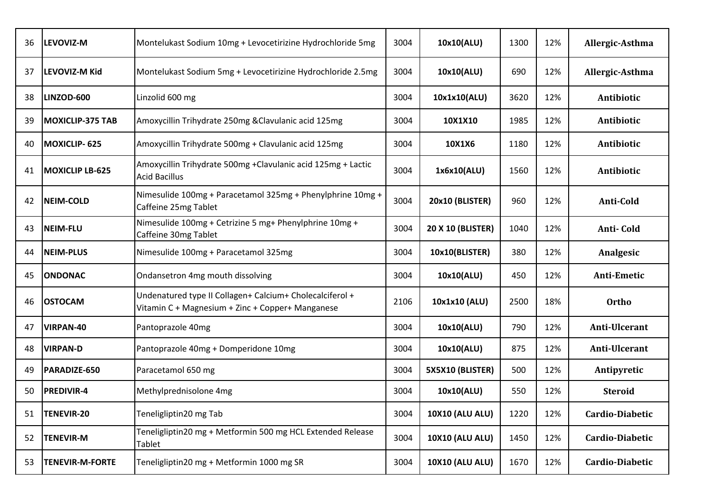| 36 | <b>LEVOVIZ-M</b>        | Montelukast Sodium 10mg + Levocetirizine Hydrochloride 5mg                                                   | 3004 | 10x10(ALU)               | 1300 | 12% | Allergic-Asthma |
|----|-------------------------|--------------------------------------------------------------------------------------------------------------|------|--------------------------|------|-----|-----------------|
| 37 | LEVOVIZ-M Kid           | Montelukast Sodium 5mg + Levocetirizine Hydrochloride 2.5mg                                                  | 3004 | 10x10(ALU)               | 690  | 12% | Allergic-Asthma |
| 38 | LINZOD-600              | Linzolid 600 mg                                                                                              | 3004 | 10x1x10(ALU)             | 3620 | 12% | Antibiotic      |
| 39 | <b>MOXICLIP-375 TAB</b> | Amoxycillin Trihydrate 250mg & Clavulanic acid 125mg                                                         | 3004 | 10X1X10                  | 1985 | 12% | Antibiotic      |
| 40 | MOXICLIP-625            | Amoxycillin Trihydrate 500mg + Clavulanic acid 125mg                                                         | 3004 | 10X1X6                   | 1180 | 12% | Antibiotic      |
| 41 | MOXICLIP LB-625         | Amoxycillin Trihydrate 500mg +Clavulanic acid 125mg + Lactic<br><b>Acid Bacillus</b>                         | 3004 | 1x6x10(ALU)              | 1560 | 12% | Antibiotic      |
| 42 | <b>NEIM-COLD</b>        | Nimesulide 100mg + Paracetamol 325mg + Phenylphrine 10mg +<br>Caffeine 25mg Tablet                           | 3004 | 20x10 (BLISTER)          | 960  | 12% | Anti-Cold       |
| 43 | NEIM-FLU                | Nimesulide 100mg + Cetrizine 5 mg+ Phenylphrine 10mg +<br>Caffeine 30mg Tablet                               | 3004 | <b>20 X 10 (BLISTER)</b> | 1040 | 12% | Anti-Cold       |
| 44 | <b>NEIM-PLUS</b>        | Nimesulide 100mg + Paracetamol 325mg                                                                         | 3004 | 10x10(BLISTER)           | 380  | 12% | Analgesic       |
| 45 | <b>ONDONAC</b>          | Ondansetron 4mg mouth dissolving                                                                             | 3004 | 10x10(ALU)               | 450  | 12% | Anti-Emetic     |
| 46 | <b>OSTOCAM</b>          | Undenatured type II Collagen+ Calcium+ Cholecalciferol +<br>Vitamin C + Magnesium + Zinc + Copper+ Manganese | 2106 | 10x1x10 (ALU)            | 2500 | 18% | <b>Ortho</b>    |
| 47 | VIRPAN-40               | Pantoprazole 40mg                                                                                            | 3004 | 10x10(ALU)               | 790  | 12% | Anti-Ulcerant   |
| 48 | <b>VIRPAN-D</b>         | Pantoprazole 40mg + Domperidone 10mg                                                                         | 3004 | 10x10(ALU)               | 875  | 12% | Anti-Ulcerant   |
| 49 | PARADIZE-650            | Paracetamol 650 mg                                                                                           | 3004 | 5X5X10 (BLISTER)         | 500  | 12% | Antipyretic     |
| 50 | <b>PREDIVIR-4</b>       | Methylprednisolone 4mg                                                                                       | 3004 | 10x10(ALU)               | 550  | 12% | <b>Steroid</b>  |
| 51 | TENEVIR-20              | Teneligliptin20 mg Tab                                                                                       | 3004 | <b>10X10 (ALU ALU)</b>   | 1220 | 12% | Cardio-Diabetic |
| 52 | <b>TENEVIR-M</b>        | Teneligliptin20 mg + Metformin 500 mg HCL Extended Release<br>Tablet                                         | 3004 | <b>10X10 (ALU ALU)</b>   | 1450 | 12% | Cardio-Diabetic |
| 53 | <b>TENEVIR-M-FORTE</b>  | Teneligliptin20 mg + Metformin 1000 mg SR                                                                    | 3004 | <b>10X10 (ALU ALU)</b>   | 1670 | 12% | Cardio-Diabetic |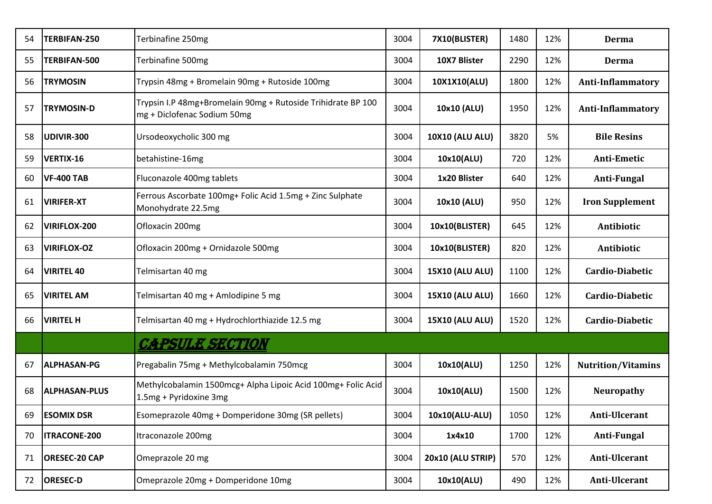| 54 | TERBIFAN-250         | Terbinafine 250mg                                                                           | 3004 | 7X10(BLISTER)          | 1480 | 12% | <b>Derma</b>              |
|----|----------------------|---------------------------------------------------------------------------------------------|------|------------------------|------|-----|---------------------------|
| 55 | <b>TERBIFAN-500</b>  | Terbinafine 500mg                                                                           | 3004 | 10X7 Blister           | 2290 | 12% | Derma                     |
| 56 | <b>TRYMOSIN</b>      | Trypsin 48mg + Bromelain 90mg + Rutoside 100mg                                              | 3004 | 10X1X10(ALU)           | 1800 | 12% | <b>Anti-Inflammatory</b>  |
| 57 | <b>TRYMOSIN-D</b>    | Trypsin I.P 48mg+Bromelain 90mg + Rutoside Trihidrate BP 100<br>mg + Diclofenac Sodium 50mg | 3004 | 10x10 (ALU)            | 1950 | 12% | <b>Anti-Inflammatory</b>  |
| 58 | UDIVIR-300           | Ursodeoxycholic 300 mg                                                                      | 3004 | <b>10X10 (ALU ALU)</b> | 3820 | 5%  | <b>Bile Resins</b>        |
| 59 | VERTIX-16            | betahistine-16mg                                                                            | 3004 | 10x10(ALU)             | 720  | 12% | Anti-Emetic               |
| 60 | <b>VF-400 TAB</b>    | Fluconazole 400mg tablets                                                                   | 3004 | 1x20 Blister           | 640  | 12% | Anti-Fungal               |
| 61 | <b>VIRIFER-XT</b>    | Ferrous Ascorbate 100mg+ Folic Acid 1.5mg + Zinc Sulphate<br>Monohydrate 22.5mg             | 3004 | 10x10 (ALU)            | 950  | 12% | <b>Iron Supplement</b>    |
| 62 | <b>VIRIFLOX-200</b>  | Ofloxacin 200mg                                                                             | 3004 | 10x10(BLISTER)         | 645  | 12% | Antibiotic                |
| 63 | <b>VIRIFLOX-OZ</b>   | Ofloxacin 200mg + Ornidazole 500mg                                                          | 3004 | 10x10(BLISTER)         | 820  | 12% | Antibiotic                |
| 64 | <b>VIRITEL 40</b>    | Telmisartan 40 mg                                                                           | 3004 | <b>15X10 (ALU ALU)</b> | 1100 | 12% | Cardio-Diabetic           |
| 65 | <b>VIRITEL AM</b>    | Telmisartan 40 mg + Amlodipine 5 mg                                                         | 3004 | <b>15X10 (ALU ALU)</b> | 1660 | 12% | Cardio-Diabetic           |
| 66 | <b>VIRITEL H</b>     | Telmisartan 40 mg + Hydrochlorthiazide 12.5 mg                                              | 3004 | <b>15X10 (ALU ALU)</b> | 1520 | 12% | <b>Cardio-Diabetic</b>    |
|    |                      | <b>CAPSULE SECTION</b>                                                                      |      |                        |      |     |                           |
| 67 | <b>ALPHASAN-PG</b>   | Pregabalin 75mg + Methylcobalamin 750mcg                                                    | 3004 | 10x10(ALU)             | 1250 | 12% | <b>Nutrition/Vitamins</b> |
| 68 | <b>ALPHASAN-PLUS</b> | Methylcobalamin 1500mcg+ Alpha Lipoic Acid 100mg+ Folic Acid<br>1.5mg + Pyridoxine 3mg      | 3004 | 10x10(ALU)             | 1500 | 12% | <b>Neuropathy</b>         |
| 69 | <b>ESOMIX DSR</b>    | Esomeprazole 40mg + Domperidone 30mg (SR pellets)                                           | 3004 | 10x10(ALU-ALU)         | 1050 | 12% | Anti-Ulcerant             |
| 70 | <b>ITRACONE-200</b>  | Itraconazole 200mg                                                                          | 3004 | 1x4x10                 | 1700 | 12% | Anti-Fungal               |
| 71 | <b>ORESEC-20 CAP</b> | Omeprazole 20 mg                                                                            | 3004 | 20x10 (ALU STRIP)      | 570  | 12% | Anti-Ulcerant             |
| 72 | <b>ORESEC-D</b>      | Omeprazole 20mg + Domperidone 10mg                                                          | 3004 | 10x10(ALU)             | 490  | 12% | Anti-Ulcerant             |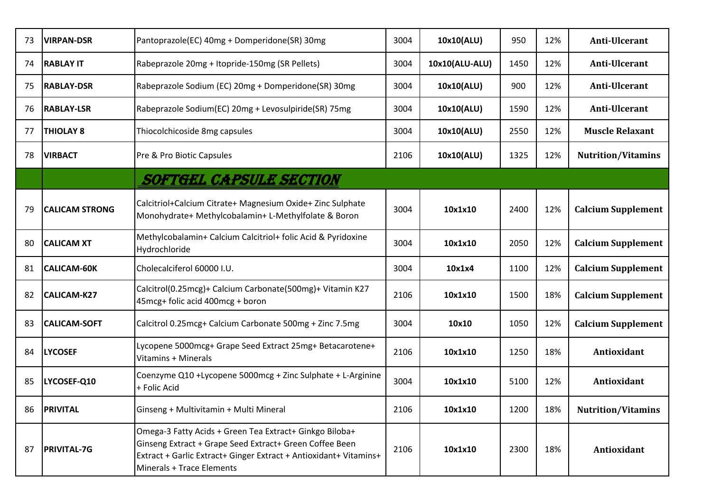| 73 | <b>VIRPAN-DSR</b>     | Pantoprazole(EC) 40mg + Domperidone(SR) 30mg                                                                                                                                                                         | 3004 | 10x10(ALU)     | 950  | 12% | Anti-Ulcerant             |
|----|-----------------------|----------------------------------------------------------------------------------------------------------------------------------------------------------------------------------------------------------------------|------|----------------|------|-----|---------------------------|
| 74 | <b>RABLAY IT</b>      | Rabeprazole 20mg + Itopride-150mg (SR Pellets)                                                                                                                                                                       | 3004 | 10x10(ALU-ALU) | 1450 | 12% | Anti-Ulcerant             |
| 75 | <b>RABLAY-DSR</b>     | Rabeprazole Sodium (EC) 20mg + Domperidone(SR) 30mg                                                                                                                                                                  | 3004 | 10x10(ALU)     | 900  | 12% | Anti-Ulcerant             |
| 76 | <b>RABLAY-LSR</b>     | Rabeprazole Sodium(EC) 20mg + Levosulpiride(SR) 75mg                                                                                                                                                                 | 3004 | 10x10(ALU)     | 1590 | 12% | Anti-Ulcerant             |
| 77 | <b>THIOLAY 8</b>      | Thiocolchicoside 8mg capsules                                                                                                                                                                                        | 3004 | 10x10(ALU)     | 2550 | 12% | <b>Muscle Relaxant</b>    |
| 78 | <b>VIRBACT</b>        | Pre & Pro Biotic Capsules                                                                                                                                                                                            | 2106 | 10x10(ALU)     | 1325 | 12% | <b>Nutrition/Vitamins</b> |
|    |                       | SOFTGEL CAPSULE SECTION                                                                                                                                                                                              |      |                |      |     |                           |
| 79 | <b>CALICAM STRONG</b> | Calcitriol+Calcium Citrate+ Magnesium Oxide+ Zinc Sulphate<br>Monohydrate+ Methylcobalamin+ L-Methylfolate & Boron                                                                                                   | 3004 | 10x1x10        | 2400 | 12% | <b>Calcium Supplement</b> |
| 80 | <b>CALICAM XT</b>     | Methylcobalamin+ Calcium Calcitriol+ folic Acid & Pyridoxine<br>Hydrochloride                                                                                                                                        | 3004 | 10x1x10        | 2050 | 12% | <b>Calcium Supplement</b> |
| 81 | CALICAM-60K           | Cholecalciferol 60000 I.U.                                                                                                                                                                                           | 3004 | 10x1x4         | 1100 | 12% | <b>Calcium Supplement</b> |
| 82 | CALICAM-K27           | Calcitrol(0.25mcg)+ Calcium Carbonate(500mg)+ Vitamin K27<br>45mcg+ folic acid 400mcg + boron                                                                                                                        | 2106 | 10x1x10        | 1500 | 18% | <b>Calcium Supplement</b> |
| 83 | <b>CALICAM-SOFT</b>   | Calcitrol 0.25mcg+ Calcium Carbonate 500mg + Zinc 7.5mg                                                                                                                                                              | 3004 | 10x10          | 1050 | 12% | <b>Calcium Supplement</b> |
| 84 | <b>LYCOSEF</b>        | Lycopene 5000mcg+ Grape Seed Extract 25mg+ Betacarotene+<br>Vitamins + Minerals                                                                                                                                      | 2106 | 10x1x10        | 1250 | 18% | Antioxidant               |
| 85 | LYCOSEF-Q10           | Coenzyme Q10 +Lycopene 5000mcg + Zinc Sulphate + L-Arginine<br>+ Folic Acid                                                                                                                                          | 3004 | 10x1x10        | 5100 | 12% | Antioxidant               |
| 86 | <b>PRIVITAL</b>       | Ginseng + Multivitamin + Multi Mineral                                                                                                                                                                               | 2106 | 10x1x10        | 1200 | 18% | <b>Nutrition/Vitamins</b> |
| 87 | <b>PRIVITAL-7G</b>    | Omega-3 Fatty Acids + Green Tea Extract+ Ginkgo Biloba+<br>Ginseng Extract + Grape Seed Extract+ Green Coffee Been<br>Extract + Garlic Extract+ Ginger Extract + Antioxidant+ Vitamins+<br>Minerals + Trace Elements | 2106 | 10x1x10        | 2300 | 18% | Antioxidant               |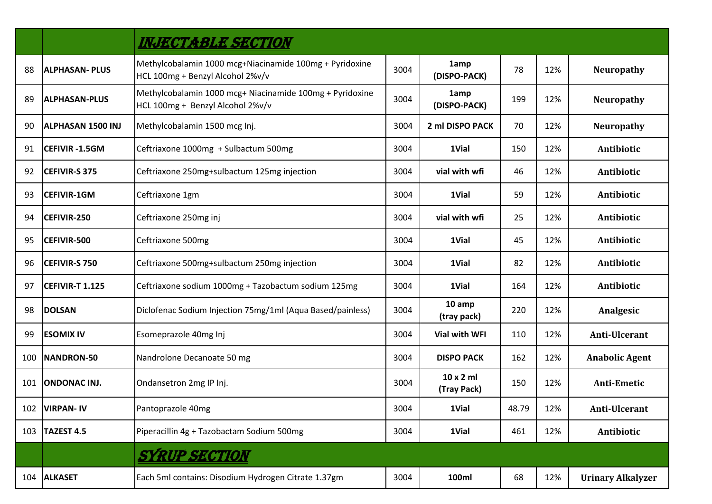|     |                          | <b>INJECTABLE SECTION</b>                                                                    |      |                                 |       |     |                          |
|-----|--------------------------|----------------------------------------------------------------------------------------------|------|---------------------------------|-------|-----|--------------------------|
| 88  | <b>ALPHASAN-PLUS</b>     | Methylcobalamin 1000 mcg+Niacinamide 100mg + Pyridoxine<br>HCL 100mg + Benzyl Alcohol 2%v/v  | 3004 | 1amp<br>(DISPO-PACK)            | 78    | 12% | <b>Neuropathy</b>        |
| 89  | <b>ALPHASAN-PLUS</b>     | Methylcobalamin 1000 mcg+ Niacinamide 100mg + Pyridoxine<br>HCL 100mg + Benzyl Alcohol 2%v/v | 3004 | 1amp<br>(DISPO-PACK)            | 199   | 12% | <b>Neuropathy</b>        |
| 90  | <b>ALPHASAN 1500 INJ</b> | Methylcobalamin 1500 mcg Inj.                                                                | 3004 | 2 ml DISPO PACK                 | 70    | 12% | <b>Neuropathy</b>        |
| 91  | CEFIVIR -1.5GM           | Ceftriaxone 1000mg + Sulbactum 500mg                                                         | 3004 | 1Vial                           | 150   | 12% | Antibiotic               |
| 92  | <b>CEFIVIR-S 375</b>     | Ceftriaxone 250mg+sulbactum 125mg injection                                                  | 3004 | vial with wfi                   | 46    | 12% | Antibiotic               |
| 93  | <b>CEFIVIR-1GM</b>       | Ceftriaxone 1gm                                                                              | 3004 | 1Vial                           | 59    | 12% | Antibiotic               |
| 94  | CEFIVIR-250              | Ceftriaxone 250mg inj                                                                        | 3004 | vial with wfi                   | 25    | 12% | Antibiotic               |
| 95  | CEFIVIR-500              | Ceftriaxone 500mg                                                                            | 3004 | 1Vial                           | 45    | 12% | Antibiotic               |
| 96  | <b>CEFIVIR-S 750</b>     | Ceftriaxone 500mg+sulbactum 250mg injection                                                  | 3004 | 1Vial                           | 82    | 12% | Antibiotic               |
| 97  | CEFIVIR-T 1.125          | Ceftriaxone sodium 1000mg + Tazobactum sodium 125mg                                          | 3004 | 1Vial                           | 164   | 12% | Antibiotic               |
| 98  | <b>DOLSAN</b>            | Diclofenac Sodium Injection 75mg/1ml (Aqua Based/painless)                                   | 3004 | 10 amp<br>(tray pack)           | 220   | 12% | Analgesic                |
| 99  | <b>ESOMIX IV</b>         | Esomeprazole 40mg Inj                                                                        | 3004 | <b>Vial with WFI</b>            | 110   | 12% | Anti-Ulcerant            |
| 100 | NANDRON-50               | Nandrolone Decanoate 50 mg                                                                   | 3004 | <b>DISPO PACK</b>               | 162   | 12% | <b>Anabolic Agent</b>    |
| 101 | <b>ONDONAC INJ.</b>      | Ondansetron 2mg IP Inj.                                                                      | 3004 | $10 \times 2$ ml<br>(Tray Pack) | 150   | 12% | Anti-Emetic              |
|     | 102   VIRPAN- IV         | Pantoprazole 40mg                                                                            | 3004 | 1Vial                           | 48.79 | 12% | Anti-Ulcerant            |
| 103 | TAZEST 4.5               | Piperacillin 4g + Tazobactam Sodium 500mg                                                    | 3004 | 1Vial                           | 461   | 12% | Antibiotic               |
|     |                          | <b>SYRUP SECTION</b>                                                                         |      |                                 |       |     |                          |
|     | 104 ALKASET              | Each 5ml contains: Disodium Hydrogen Citrate 1.37gm                                          | 3004 | 100ml                           | 68    | 12% | <b>Urinary Alkalyzer</b> |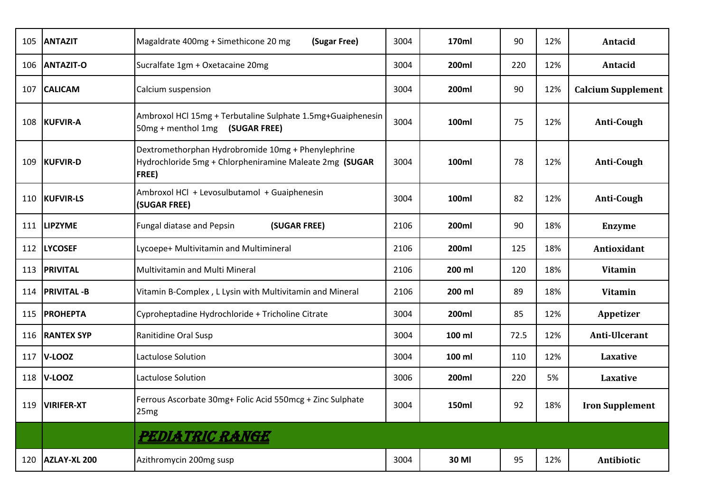| 105 | <b>ANTAZIT</b>    | Magaldrate 400mg + Simethicone 20 mg<br>(Sugar Free)                                                                           | 3004 | 170ml        | 90   | 12% | Antacid                   |
|-----|-------------------|--------------------------------------------------------------------------------------------------------------------------------|------|--------------|------|-----|---------------------------|
| 106 | <b>ANTAZIT-O</b>  | Sucralfate 1gm + Oxetacaine 20mg                                                                                               | 3004 | 200ml        | 220  | 12% | Antacid                   |
| 107 | <b>CALICAM</b>    | Calcium suspension                                                                                                             | 3004 | 200ml        | 90   | 12% | <b>Calcium Supplement</b> |
| 108 | KUFVIR-A          | Ambroxol HCl 15mg + Terbutaline Sulphate 1.5mg+Guaiphenesin<br>50mg + menthol 1mg (SUGAR FREE)                                 | 3004 | 100ml        | 75   | 12% | <b>Anti-Cough</b>         |
| 109 | KUFVIR-D          | Dextromethorphan Hydrobromide 10mg + Phenylephrine<br>Hydrochloride 5mg + Chlorpheniramine Maleate 2mg (SUGAR<br><b>FREE</b> ) | 3004 | 100ml        | 78   | 12% | Anti-Cough                |
| 110 | <b>KUFVIR-LS</b>  | Ambroxol HCl + Levosulbutamol + Guaiphenesin<br>(SUGAR FREE)                                                                   | 3004 | 100ml        | 82   | 12% | Anti-Cough                |
| 111 | <b>LIPZYME</b>    | <b>Fungal diatase and Pepsin</b><br>(SUGAR FREE)                                                                               | 2106 | 200ml        | 90   | 18% | <b>Enzyme</b>             |
| 112 | <b>LYCOSEF</b>    | Lycoepe+ Multivitamin and Multimineral                                                                                         | 2106 | 200ml        | 125  | 18% | Antioxidant               |
| 113 | <b>PRIVITAL</b>   | Multivitamin and Multi Mineral                                                                                                 | 2106 | 200 ml       | 120  | 18% | <b>Vitamin</b>            |
| 114 | <b>PRIVITAL-B</b> | Vitamin B-Complex, L Lysin with Multivitamin and Mineral                                                                       | 2106 | 200 ml       | 89   | 18% | <b>Vitamin</b>            |
| 115 | <b>PROHEPTA</b>   | Cyproheptadine Hydrochloride + Tricholine Citrate                                                                              | 3004 | 200ml        | 85   | 12% | Appetizer                 |
| 116 | <b>RANTEX SYP</b> | Ranitidine Oral Susp                                                                                                           | 3004 | 100 ml       | 72.5 | 12% | Anti-Ulcerant             |
| 117 | $V-LOOZ$          | Lactulose Solution                                                                                                             | 3004 | 100 ml       | 110  | 12% | Laxative                  |
| 118 | $V-LOOZ$          | Lactulose Solution                                                                                                             | 3006 | 200ml        | 220  | 5%  | Laxative                  |
|     | 119   VIRIFER-XT  | Ferrous Ascorbate 30mg+ Folic Acid 550mcg + Zinc Sulphate<br>25 <sub>mg</sub>                                                  | 3004 | <b>150ml</b> | 92   | 18% | <b>Iron Supplement</b>    |
|     |                   | PEDIATRIC RANGE                                                                                                                |      |              |      |     |                           |
| 120 | AZLAY-XL 200      | Azithromycin 200mg susp                                                                                                        | 3004 | 30 MI        | 95   | 12% | Antibiotic                |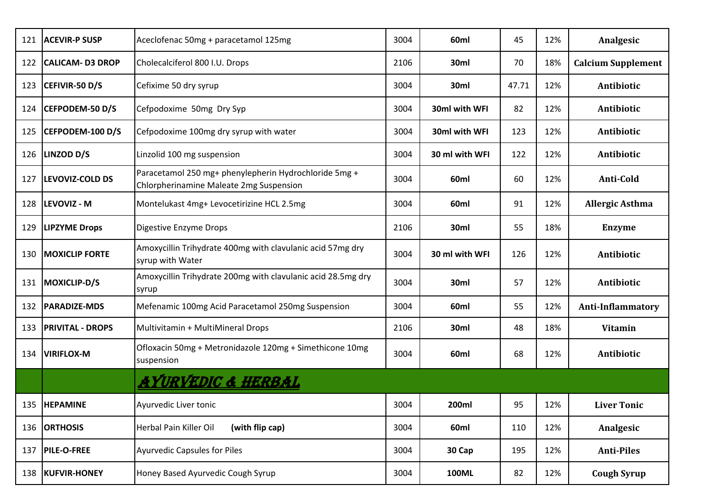| 121 | <b>ACEVIR-P SUSP</b>    | Aceclofenac 50mg + paracetamol 125mg                                                             | 3004 | 60ml           | 45    | 12% | Analgesic                 |
|-----|-------------------------|--------------------------------------------------------------------------------------------------|------|----------------|-------|-----|---------------------------|
| 122 | <b>CALICAM-D3 DROP</b>  | Cholecalciferol 800 I.U. Drops                                                                   | 2106 | 30ml           | 70    | 18% | <b>Calcium Supplement</b> |
| 123 | CEFIVIR-50 D/S          | Cefixime 50 dry syrup                                                                            | 3004 | 30ml           | 47.71 | 12% | Antibiotic                |
| 124 | CEFPODEM-50 D/S         | Cefpodoxime 50mg Dry Syp                                                                         | 3004 | 30ml with WFI  | 82    | 12% | Antibiotic                |
| 125 | CEFPODEM-100 D/S        | Cefpodoxime 100mg dry syrup with water                                                           | 3004 | 30ml with WFI  | 123   | 12% | Antibiotic                |
| 126 | <b>LINZOD D/S</b>       | Linzolid 100 mg suspension                                                                       | 3004 | 30 ml with WFI | 122   | 12% | Antibiotic                |
| 127 | <b>LEVOVIZ-COLD DS</b>  | Paracetamol 250 mg+ phenylepherin Hydrochloride 5mg +<br>Chlorpherinamine Maleate 2mg Suspension | 3004 | 60ml           | 60    | 12% | Anti-Cold                 |
| 128 | <b>LEVOVIZ - M</b>      | Montelukast 4mg+ Levocetirizine HCL 2.5mg                                                        | 3004 | 60ml           | 91    | 12% | <b>Allergic Asthma</b>    |
| 129 | <b>LIPZYME Drops</b>    | Digestive Enzyme Drops                                                                           | 2106 | 30ml           | 55    | 18% | <b>Enzyme</b>             |
| 130 | <b>MOXICLIP FORTE</b>   | Amoxycillin Trihydrate 400mg with clavulanic acid 57mg dry<br>syrup with Water                   | 3004 | 30 ml with WFI | 126   | 12% | Antibiotic                |
| 131 | MOXICLIP-D/S            | Amoxycillin Trihydrate 200mg with clavulanic acid 28.5mg dry<br>syrup                            | 3004 | 30ml           | 57    | 12% | Antibiotic                |
| 132 | <b>PARADIZE-MDS</b>     | Mefenamic 100mg Acid Paracetamol 250mg Suspension                                                | 3004 | 60ml           | 55    | 12% | <b>Anti-Inflammatory</b>  |
| 133 | <b>PRIVITAL - DROPS</b> | Multivitamin + MultiMineral Drops                                                                | 2106 | 30ml           | 48    | 18% | <b>Vitamin</b>            |
| 134 | <b>VIRIFLOX-M</b>       | Ofloxacin 50mg + Metronidazole 120mg + Simethicone 10mg<br>suspension                            | 3004 | 60ml           | 68    | 12% | Antibiotic                |
|     |                         | <u>AYURVEDIC &amp; HERBAL</u>                                                                    |      |                |       |     |                           |
|     | 135  HEPAMINE           | Ayurvedic Liver tonic                                                                            | 3004 | 200ml          | 95    | 12% | <b>Liver Tonic</b>        |
|     | 136 ORTHOSIS            | Herbal Pain Killer Oil<br>(with flip cap)                                                        | 3004 | 60ml           | 110   | 12% | Analgesic                 |
| 137 | <b>PILE-O-FREE</b>      | Ayurvedic Capsules for Piles                                                                     | 3004 | 30 Cap         | 195   | 12% | <b>Anti-Piles</b>         |
|     | 138  KUFVIR-HONEY       | Honey Based Ayurvedic Cough Syrup                                                                | 3004 | <b>100ML</b>   | 82    | 12% | <b>Cough Syrup</b>        |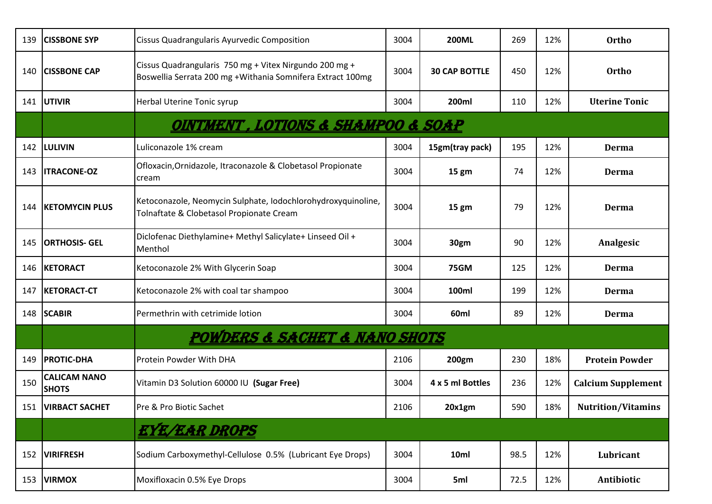| 139 | <b>CISSBONE SYP</b>                 | <b>Cissus Quadrangularis Ayurvedic Composition</b>                                                                   | 3004 | <b>200ML</b>         | 269  | 12% | <b>Ortho</b>              |
|-----|-------------------------------------|----------------------------------------------------------------------------------------------------------------------|------|----------------------|------|-----|---------------------------|
| 140 | <b>CISSBONE CAP</b>                 | Cissus Quadrangularis 750 mg + Vitex Nirgundo 200 mg +<br>Boswellia Serrata 200 mg +Withania Somnifera Extract 100mg | 3004 | <b>30 CAP BOTTLE</b> | 450  | 12% | <b>Ortho</b>              |
| 141 | <b>UTIVIR</b>                       | Herbal Uterine Tonic syrup                                                                                           | 3004 | 200ml                | 110  | 12% | <b>Uterine Tonic</b>      |
|     |                                     | <u>OINTMENT , LOTIONS &amp; SHAMPOO &amp; SOAP</u>                                                                   |      |                      |      |     |                           |
| 142 | <b>LULIVIN</b>                      | Luliconazole 1% cream                                                                                                | 3004 | 15gm(tray pack)      | 195  | 12% | <b>Derma</b>              |
| 143 | <b>ITRACONE-OZ</b>                  | Ofloxacin, Ornidazole, Itraconazole & Clobetasol Propionate<br>cream                                                 | 3004 | 15 gm                | 74   | 12% | <b>Derma</b>              |
| 144 | <b>KETOMYCIN PLUS</b>               | Ketoconazole, Neomycin Sulphate, Iodochlorohydroxyquinoline,<br>Tolnaftate & Clobetasol Propionate Cream             | 3004 | 15 gm                | 79   | 12% | <b>Derma</b>              |
| 145 | <b>ORTHOSIS- GEL</b>                | Diclofenac Diethylamine+ Methyl Salicylate+ Linseed Oil +<br>Menthol                                                 | 3004 | 30gm                 | 90   | 12% | Analgesic                 |
| 146 | <b>KETORACT</b>                     | Ketoconazole 2% With Glycerin Soap                                                                                   | 3004 | <b>75GM</b>          | 125  | 12% | Derma                     |
| 147 | <b>KETORACT-CT</b>                  | Ketoconazole 2% with coal tar shampoo                                                                                | 3004 | 100ml                | 199  | 12% | <b>Derma</b>              |
| 148 | <b>SCABIR</b>                       | Permethrin with cetrimide lotion                                                                                     | 3004 | 60ml                 | 89   | 12% | <b>Derma</b>              |
|     |                                     | POWDERS & SACHET & NANO SHOTS                                                                                        |      |                      |      |     |                           |
| 149 | <b>PROTIC-DHA</b>                   | Protein Powder With DHA                                                                                              | 2106 | 200gm                | 230  | 18% | <b>Protein Powder</b>     |
| 150 | <b>CALICAM NANO</b><br><b>SHOTS</b> | Vitamin D3 Solution 60000 IU (Sugar Free)                                                                            | 3004 | 4 x 5 ml Bottles     | 236  | 12% | <b>Calcium Supplement</b> |
|     | 151   VIRBACT SACHET                | Pre & Pro Biotic Sachet                                                                                              | 2106 | 20x1gm               | 590  | 18% | <b>Nutrition/Vitamins</b> |
|     |                                     | EYE/EAR DROPS                                                                                                        |      |                      |      |     |                           |
| 152 | <b>VIRIFRESH</b>                    | Sodium Carboxymethyl-Cellulose 0.5% (Lubricant Eye Drops)                                                            | 3004 | 10ml                 | 98.5 | 12% | Lubricant                 |
| 153 | <b>VIRMOX</b>                       | Moxifloxacin 0.5% Eye Drops                                                                                          | 3004 | 5ml                  | 72.5 | 12% | Antibiotic                |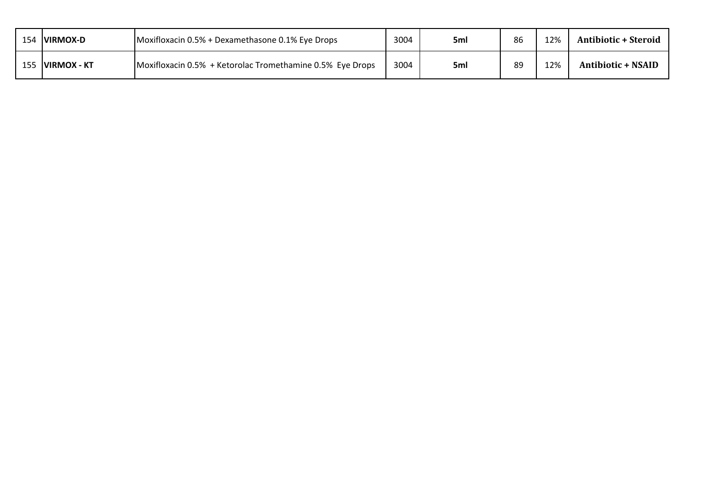| 154 | <b>IVIRMOX-D</b>    | Moxifloxacin 0.5% + Dexamethasone 0.1% Eye Drops          | 3004 | 5ml | 86 | 12% | <b>Antibiotic + Steroid</b> |
|-----|---------------------|-----------------------------------------------------------|------|-----|----|-----|-----------------------------|
| 155 | <b>IVIRMOX - KT</b> | Moxifloxacin 0.5% + Ketorolac Tromethamine 0.5% Eye Drops | 3004 | 5ml | 89 | 12% | <b>Antibiotic + NSAID</b>   |